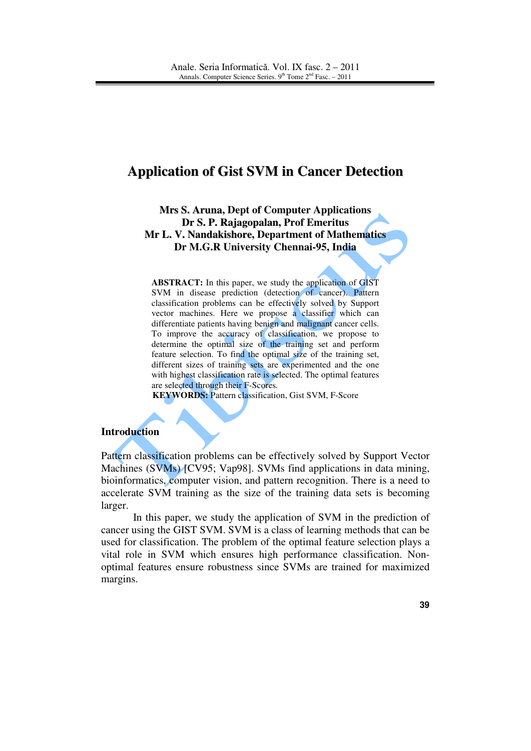# **Application of Gist SVM in Cancer Detection**

**Mrs S. Aruna, Dept of Computer Applications Dr S. P. Rajagopalan, Prof Emeritus Mr L. V. Nandakishore, Department of Mathematics Dr M.G.R University Chennai-95, India** 

**ABSTRACT:** In this paper, we study the application of GIST SVM in disease prediction (detection of cancer). Pattern classification problems can be effectively solved by Support vector machines. Here we propose a classifier which can differentiate patients having benign and malignant cancer cells. To improve the accuracy of classification, we propose to determine the optimal size of the training set and perform feature selection. To find the optimal size of the training set, different sizes of training sets are experimented and the one with highest classification rate is selected. The optimal features are selected through their F-Scores*.* 

**KEYWORDS:** Pattern classification, Gist SVM, F-Score

#### **Introduction**

Pattern classification problems can be effectively solved by Support Vector Machines (SVMs) [CV95; Vap98]. SVMs find applications in data mining, bioinformatics, computer vision, and pattern recognition. There is a need to accelerate SVM training as the size of the training data sets is becoming larger.

In this paper, we study the application of SVM in the prediction of cancer using the GIST SVM. SVM is a class of learning methods that can be used for classification. The problem of the optimal feature selection plays a vital role in SVM which ensures high performance classification. Nonoptimal features ensure robustness since SVMs are trained for maximized margins.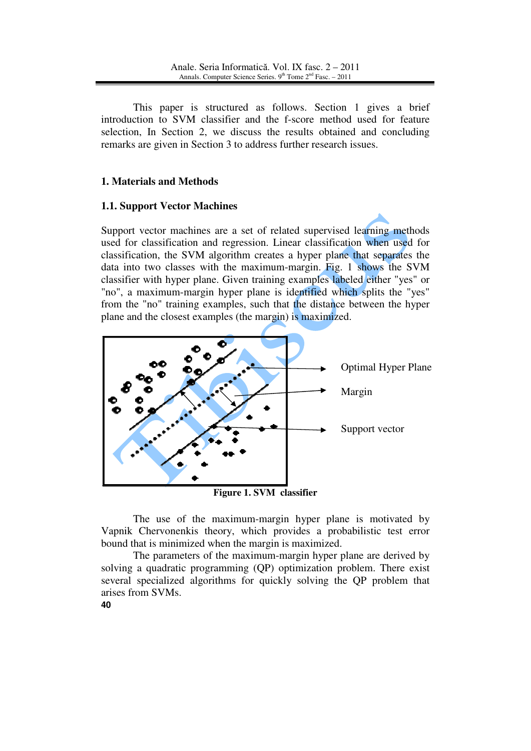This paper is structured as follows. Section 1 gives a brief introduction to SVM classifier and the f-score method used for feature selection, In Section 2, we discuss the results obtained and concluding remarks are given in Section 3 to address further research issues.

# **1. Materials and Methods**

### **1.1. Support Vector Machines**

Support vector machines are a set of related supervised learning methods used for classification and regression. Linear classification when used for classification, the SVM algorithm creates a hyper plane that separates the data into two classes with the maximum-margin. Fig. 1 shows the SVM classifier with hyper plane. Given training examples labeled either "yes" or "no", a maximum-margin hyper plane is identified which splits the "yes" from the "no" training examples, such that the distance between the hyper plane and the closest examples (the margin) is maximized.



**Figure 1. SVM classifier**

The use of the maximum-margin hyper plane is motivated by Vapnik Chervonenkis theory, which provides a probabilistic test error bound that is minimized when the margin is maximized.

The parameters of the maximum-margin hyper plane are derived by solving a quadratic programming (QP) optimization problem. There exist several specialized algorithms for quickly solving the QP problem that arises from SVMs.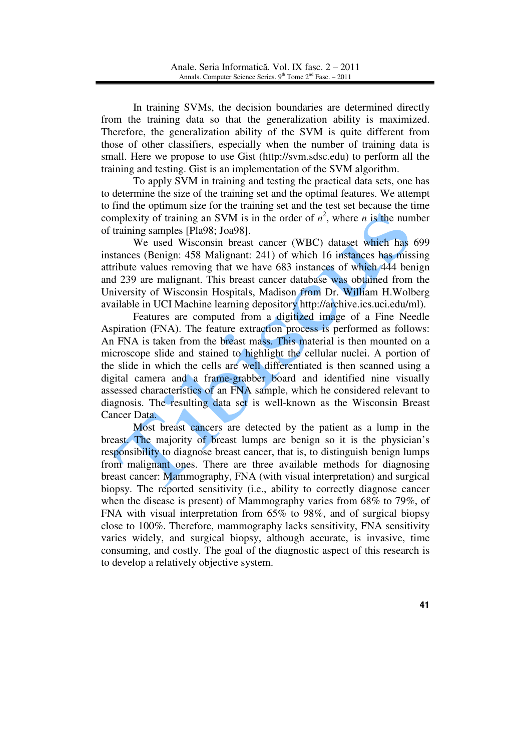In training SVMs, the decision boundaries are determined directly from the training data so that the generalization ability is maximized. Therefore, the generalization ability of the SVM is quite different from those of other classifiers, especially when the number of training data is small. Here we propose to use Gist (http://svm.sdsc.edu) to perform all the training and testing. Gist is an implementation of the SVM algorithm.

To apply SVM in training and testing the practical data sets, one has to determine the size of the training set and the optimal features. We attempt to find the optimum size for the training set and the test set because the time complexity of training an SVM is in the order of  $n^2$ , where *n* is the number of training samples [Pla98; Joa98].

We used Wisconsin breast cancer (WBC) dataset which has 699 instances (Benign: 458 Malignant: 241) of which 16 instances has missing attribute values removing that we have 683 instances of which 444 benign and 239 are malignant. This breast cancer database was obtained from the University of Wisconsin Hospitals, Madison from Dr. William H.Wolberg available in UCI Machine learning depository http://archive.ics.uci.edu/ml).

Features are computed from a digitized image of a Fine Needle Aspiration (FNA). The feature extraction process is performed as follows: An FNA is taken from the breast mass. This material is then mounted on a microscope slide and stained to highlight the cellular nuclei. A portion of the slide in which the cells are well differentiated is then scanned using a digital camera and a frame-grabber board and identified nine visually assessed characteristics of an FNA sample, which he considered relevant to diagnosis. The resulting data set is well-known as the Wisconsin Breast Cancer Data.

Most breast cancers are detected by the patient as a lump in the breast. The majority of breast lumps are benign so it is the physician's responsibility to diagnose breast cancer, that is, to distinguish benign lumps from malignant ones. There are three available methods for diagnosing breast cancer: Mammography, FNA (with visual interpretation) and surgical biopsy. The reported sensitivity (i.e., ability to correctly diagnose cancer when the disease is present) of Mammography varies from 68% to 79%, of FNA with visual interpretation from 65% to 98%, and of surgical biopsy close to 100%. Therefore, mammography lacks sensitivity, FNA sensitivity varies widely, and surgical biopsy, although accurate, is invasive, time consuming, and costly. The goal of the diagnostic aspect of this research is to develop a relatively objective system.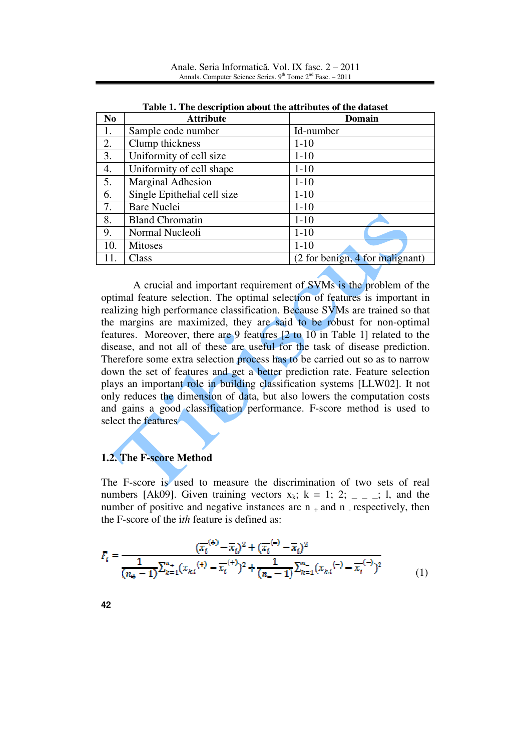| Table 1. The description about the attributes of the dataset |                             |                                 |  |  |
|--------------------------------------------------------------|-----------------------------|---------------------------------|--|--|
| N <sub>0</sub>                                               | <b>Attribute</b>            | Domain                          |  |  |
| 1.                                                           | Sample code number          | Id-number                       |  |  |
| 2.                                                           | Clump thickness             | $1 - 10$                        |  |  |
| 3.                                                           | Uniformity of cell size     | $1-10$                          |  |  |
| 4.                                                           | Uniformity of cell shape    | $1-10$                          |  |  |
| 5.                                                           | <b>Marginal Adhesion</b>    | $1 - 10$                        |  |  |
| 6.                                                           | Single Epithelial cell size | $1-10$                          |  |  |
| 7.                                                           | <b>Bare Nuclei</b>          | $1 - 10$                        |  |  |
| 8.                                                           | <b>Bland Chromatin</b>      | $1 - 10$                        |  |  |
| 9.                                                           | Normal Nucleoli             | $1 - 10$                        |  |  |
| 10.                                                          | <b>Mitoses</b>              | $1 - 10$                        |  |  |
| 11.                                                          | Class                       | (2 for benign, 4 for malignant) |  |  |

Anale. Seria Informatică. Vol. IX fasc. 2 – 2011 Annals. Computer Science Series.  $9<sup>th</sup>$  Tome  $2<sup>nd</sup>$  Fasc. – 2011

A crucial and important requirement of SVMs is the problem of the optimal feature selection. The optimal selection of features is important in realizing high performance classification. Because SVMs are trained so that the margins are maximized, they are said to be robust for non-optimal features. Moreover, there are 9 features [2 to 10 in Table 1] related to the disease, and not all of these are useful for the task of disease prediction. Therefore some extra selection process has to be carried out so as to narrow down the set of features and get a better prediction rate. Feature selection plays an important role in building classification systems [LLW02]. It not only reduces the dimension of data, but also lowers the computation costs and gains a good classification performance. F-score method is used to select the features

# **1.2. The F-score Method**

The F-score is used to measure the discrimination of two sets of real numbers [Ak09]. Given training vectors  $x_k$ ;  $k = 1$ ; 2; \_ \_ \_; 1, and the number of positive and negative instances are  $n_+$  and n respectively, then the F-score of the i*th* feature is defined as:

$$
F_t = \frac{(\overline{x_i}^{(+)}-\overline{x}_i)^2 + (\overline{x_i}^{(-)}-\overline{x}_i)^2}{\frac{1}{(n_+-1)}\sum_{k=1}^{n_+} (x_{ki}^{(+)}-\overline{x_i}^{(+)})^2 + \frac{1}{(n_--1)}\sum_{k=1}^{n_-} (x_{ki}^{(-)}-\overline{x_i}^{(-)})^2}
$$
(1)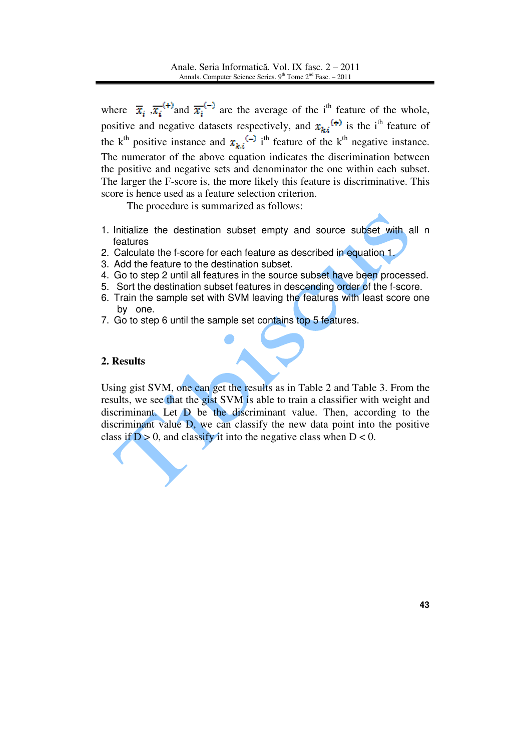where  $\overline{x}_i$ ,  $\overline{x_i}^{(+)}$  and  $\overline{x_i}^{(-)}$  are the average of the i<sup>th</sup> feature of the whole, positive and negative datasets respectively, and  $x_{k,i}$ <sup>(+)</sup> is the i<sup>th</sup> feature of the k<sup>th</sup> positive instance and  $x_{k,i}$ <sup>(-)</sup> i<sup>th</sup> feature of the k<sup>th</sup> negative instance. The numerator of the above equation indicates the discrimination between the positive and negative sets and denominator the one within each subset. The larger the F-score is, the more likely this feature is discriminative. This score is hence used as a feature selection criterion.

The procedure is summarized as follows:

- 1. Initialize the destination subset empty and source subset with all n features
- 2. Calculate the f-score for each feature as described in equation 1.
- 3. Add the feature to the destination subset.
- 4. Go to step 2 until all features in the source subset have been processed.
- 5. Sort the destination subset features in descending order of the f-score.
- 6. Train the sample set with SVM leaving the features with least score one by one.
- 7. Go to step 6 until the sample set contains top 5 features.

### **2. Results**

Using gist SVM, one can get the results as in Table 2 and Table 3. From the results, we see that the gist SVM is able to train a classifier with weight and discriminant. Let  $\overline{D}$  be the discriminant value. Then, according to the discriminant value D, we can classify the new data point into the positive class if  $D > 0$ , and classify it into the negative class when  $D < 0$ .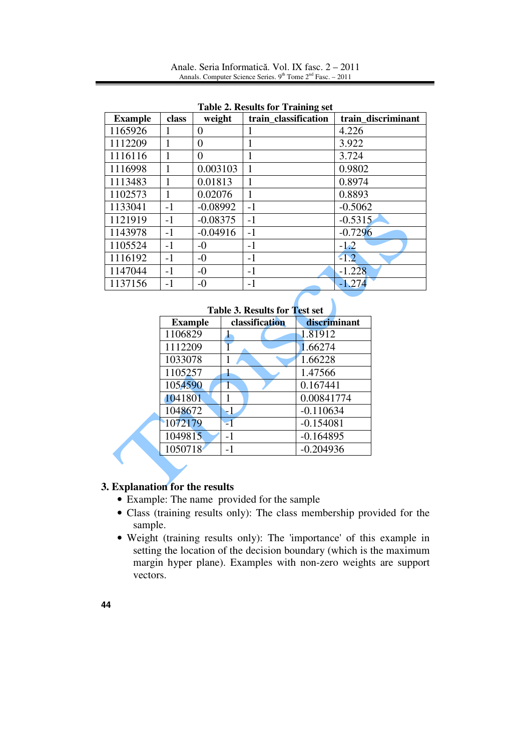Anale. Seria Informatică. Vol. IX fasc. 2 – 2011 Annals. Computer Science Series.  $9<sup>th</sup>$  Tome  $2<sup>nd</sup>$  Fasc. – 2011

| <b>Example</b> | class | weight         | train_classification | train discriminant |
|----------------|-------|----------------|----------------------|--------------------|
| 1165926        | 1     | 0              |                      | 4.226              |
| 1112209        |       | $\overline{0}$ |                      | 3.922              |
| 1116116        |       | $\overline{0}$ |                      | 3.724              |
| 1116998        |       | 0.003103       |                      | 0.9802             |
| 1113483        | 1     | 0.01813        |                      | 0.8974             |
| 1102573        |       | 0.02076        |                      | 0.8893             |
| 1133041        | $-1$  | $-0.08992$     | $-1$                 | $-0.5062$          |
| 1121919        | $-1$  | $-0.08375$     | $-1$                 | $-0.5315$          |
| 1143978        | $-1$  | $-0.04916$     | $-1$                 | $-0.7296$          |
| 1105524        | $-1$  | $-0$           | $-1$                 | $-1.2$             |
| 1116192        | $-1$  | $-0$           | $-1$                 | $-1.2$             |
| 1147044        | $-1$  | $-0$           | $-1$                 | $-1.228$           |
| 1137156        | -1    | $-0$           | $-1$                 | $-1.274$           |

**Table 2. Results for Training set** 

| Table 3. Results for Test set |                |              |  |  |
|-------------------------------|----------------|--------------|--|--|
| <b>Example</b>                | classification | discriminant |  |  |
| 1106829                       |                | 1.81912      |  |  |
| 1112209                       |                | 1.66274      |  |  |
| 1033078                       | 1              | 1.66228      |  |  |
| 1105257                       | 1              | 1.47566      |  |  |
| 1054590                       | 1              | 0.167441     |  |  |
| 1041801                       | 1              | 0.00841774   |  |  |
| 1048672                       | -1             | $-0.110634$  |  |  |
| 1072179                       | $\mathbf{=}$   | $-0.154081$  |  |  |
| 1049815                       | $-1$           | $-0.164895$  |  |  |
| 1050718                       | $-1$           | $-0.204936$  |  |  |

 $\mathbf{A}$ 

## **3. Explanation for the results**

- Example: The name provided for the sample
- Class (training results only): The class membership provided for the sample.
- Weight (training results only): The 'importance' of this example in setting the location of the decision boundary (which is the maximum margin hyper plane). Examples with non-zero weights are support vectors.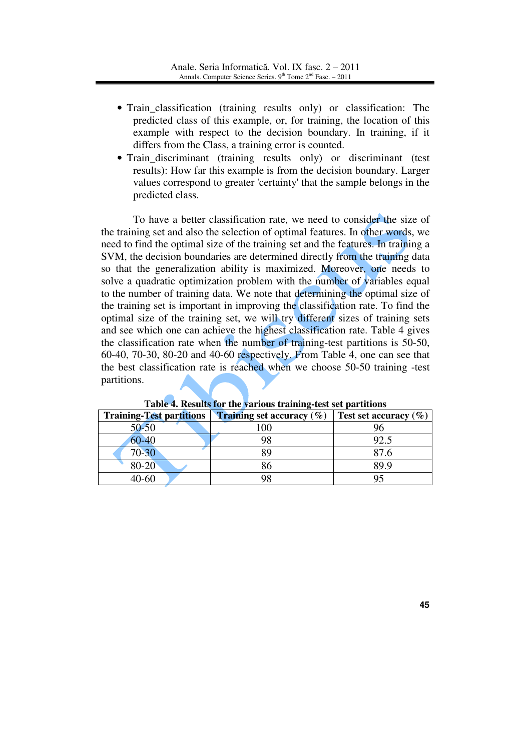- Train\_classification (training results only) or classification: The predicted class of this example, or, for training, the location of this example with respect to the decision boundary. In training, if it differs from the Class, a training error is counted.
- Train\_discriminant (training results only) or discriminant (test results): How far this example is from the decision boundary. Larger values correspond to greater 'certainty' that the sample belongs in the predicted class.

To have a better classification rate, we need to consider the size of the training set and also the selection of optimal features. In other words, we need to find the optimal size of the training set and the features. In training a SVM, the decision boundaries are determined directly from the training data so that the generalization ability is maximized. Moreover, one needs to solve a quadratic optimization problem with the number of variables equal to the number of training data. We note that determining the optimal size of the training set is important in improving the classification rate. To find the optimal size of the training set, we will try different sizes of training sets and see which one can achieve the highest classification rate. Table 4 gives the classification rate when the number of training-test partitions is 50-50, 60-40, 70-30, 80-20 and 40-60 respectively. From Table 4, one can see that the best classification rate is reached when we choose 50-50 training -test partitions.

| <b>Training-Test partitions</b> | <b>Training set accuracy</b> $(\%)$ | Test set accuracy $(\% )$ |
|---------------------------------|-------------------------------------|---------------------------|
| 50-50                           | 100                                 |                           |
| 60-40                           | 98                                  | 92.5                      |
| $70 - 30$                       | RQ                                  | 87.6                      |
| 80-20                           | 36                                  | 89.9                      |
| $40 - 60$                       | 98                                  |                           |

**Table 4. Results for the various training-test set partitions**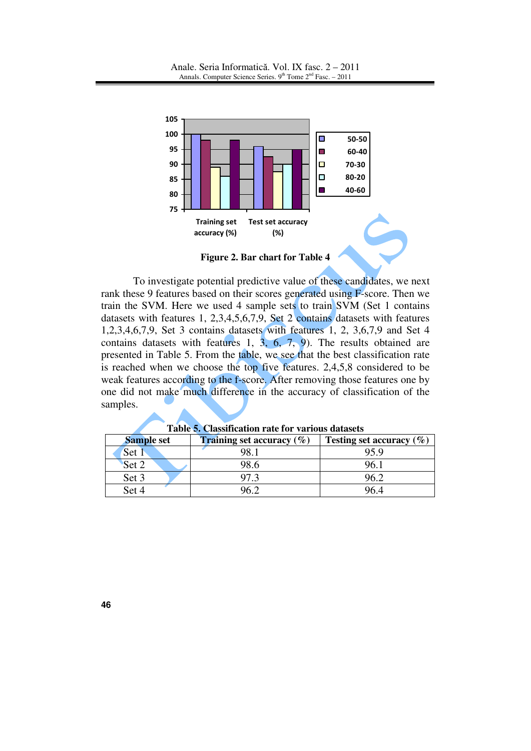

**Figure 2. Bar chart for Table 4** 

To investigate potential predictive value of these candidates, we next rank these 9 features based on their scores generated using F-score. Then we train the SVM. Here we used 4 sample sets to train SVM (Set 1 contains datasets with features 1, 2,3,4,5,6,7,9, Set 2 contains datasets with features 1,2,3,4,6,7,9, Set 3 contains datasets with features 1, 2, 3,6,7,9 and Set 4 contains datasets with features 1,  $3, 6, 7, 9$ . The results obtained are presented in Table 5. From the table, we see that the best classification rate is reached when we choose the top five features. 2,4,5,8 considered to be weak features according to the f-score. After removing those features one by one did not make much difference in the accuracy of classification of the samples.

| <b>Sample set</b> | <b>Training set accuracy</b> $(\%)$ | Testing set accuracy $(\%)$ |
|-------------------|-------------------------------------|-----------------------------|
| Set 1             |                                     | 95.9                        |
| Set 2             | 98.6                                |                             |
| Set 3             |                                     | IN 7                        |
| Set 4             |                                     |                             |

**Table 5. Classification rate for various datasets**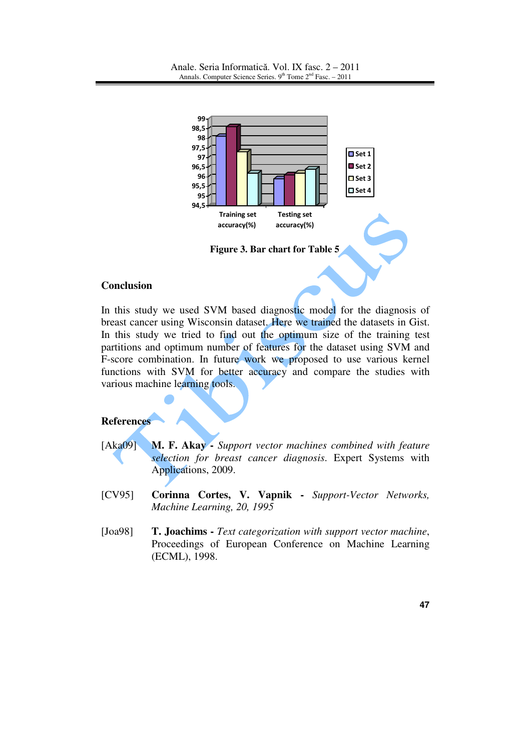

### **Conclusion**

In this study we used SVM based diagnostic model for the diagnosis of breast cancer using Wisconsin dataset. Here we trained the datasets in Gist. In this study we tried to find out the optimum size of the training test partitions and optimum number of features for the dataset using SVM and F-score combination. In future work we proposed to use various kernel functions with SVM for better accuracy and compare the studies with various machine learning tools.

## **References**

- [Aka09] **M. F. Akay** *Support vector machines combined with feature selection for breast cancer diagnosis*. Expert Systems with Applications, 2009.
- [CV95] **Corinna Cortes, V. Vapnik** *Support-Vector Networks, Machine Learning, 20, 1995*
- [Joa98] **T. Joachims** *Text categorization with support vector machine*, Proceedings of European Conference on Machine Learning (ECML), 1998.